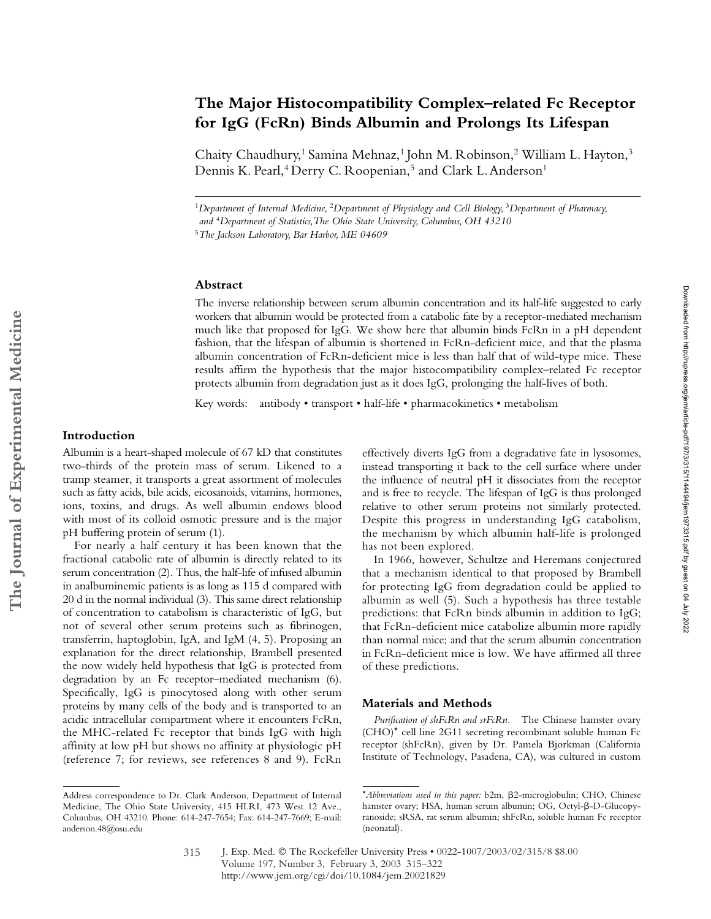# **The Major Histocompatibility Complex–related Fc Receptor for IgG (FcRn) Binds Albumin and Prolongs Its Lifespan**

Chaity Chaudhury,<sup>1</sup> Samina Mehnaz,<sup>1</sup> John M. Robinson,<sup>2</sup> William L. Hayton,<sup>3</sup> Dennis K. Pearl,<sup>4</sup> Derry C. Roopenian,<sup>5</sup> and Clark L. Anderson<sup>1</sup>

<sup>1</sup>*Department of Internal Medicine,* <sup>2</sup>*Department of Physiology and Cell Biology,* <sup>3</sup>*Department of Pharmacy, and* <sup>4</sup>*Department of Statistics,The Ohio State University, Columbus, OH 43210* <sup>5</sup>*The Jackson Laboratory, Bar Harbor, ME 04609*

## **Abstract**

The inverse relationship between serum albumin concentration and its half-life suggested to early workers that albumin would be protected from a catabolic fate by a receptor-mediated mechanism much like that proposed for IgG. We show here that albumin binds FcRn in a pH dependent fashion, that the lifespan of albumin is shortened in FcRn-deficient mice, and that the plasma albumin concentration of FcRn-deficient mice is less than half that of wild-type mice. These results affirm the hypothesis that the major histocompatibility complex–related Fc receptor protects albumin from degradation just as it does IgG, prolonging the half-lives of both.

Key words: antibody • transport • half-life • pharmacokinetics • metabolism

# **Introduction**

Albumin is a heart-shaped molecule of 67 kD that constitutes two-thirds of the protein mass of serum. Likened to a tramp steamer, it transports a great assortment of molecules such as fatty acids, bile acids, eicosanoids, vitamins, hormones, ions, toxins, and drugs. As well albumin endows blood with most of its colloid osmotic pressure and is the major pH buffering protein of serum (1).

For nearly a half century it has been known that the fractional catabolic rate of albumin is directly related to its serum concentration (2). Thus, the half-life of infused albumin in analbuminemic patients is as long as 115 d compared with 20 d in the normal individual (3). This same direct relationship of concentration to catabolism is characteristic of IgG, but not of several other serum proteins such as fibrinogen, transferrin, haptoglobin, IgA, and IgM (4, 5). Proposing an explanation for the direct relationship, Brambell presented the now widely held hypothesis that IgG is protected from degradation by an Fc receptor–mediated mechanism (6). Specifically, IgG is pinocytosed along with other serum proteins by many cells of the body and is transported to an acidic intracellular compartment where it encounters FcRn, the MHC-related Fc receptor that binds IgG with high affinity at low pH but shows no affinity at physiologic pH (reference 7; for reviews, see references 8 and 9). FcRn

effectively diverts IgG from a degradative fate in lysosomes, instead transporting it back to the cell surface where under the influence of neutral pH it dissociates from the receptor and is free to recycle. The lifespan of IgG is thus prolonged relative to other serum proteins not similarly protected. Despite this progress in understanding IgG catabolism, the mechanism by which albumin half-life is prolonged has not been explored.

In 1966, however, Schultze and Heremans conjectured that a mechanism identical to that proposed by Brambell for protecting IgG from degradation could be applied to albumin as well (5). Such a hypothesis has three testable predictions: that FcRn binds albumin in addition to IgG; that FcRn-deficient mice catabolize albumin more rapidly than normal mice; and that the serum albumin concentration in FcRn-deficient mice is low. We have affirmed all three of these predictions.

#### **Materials and Methods**

*Purification of shFcRn and srFcRn.* The Chinese hamster ovary (CHO)\* cell line 2G11 secreting recombinant soluble human Fc receptor (shFcRn), given by Dr. Pamela Bjorkman (California Institute of Technology, Pasadena, CA), was cultured in custom

Address correspondence to Dr. Clark Anderson, Department of Internal Medicine, The Ohio State University*,* 415 HLRI, 473 West 12 Ave., Columbus, OH 43210. Phone: 614-247-7654; Fax: 614-247-7669; E-mail: anderson.48@osu.edu

<sup>\*</sup>Abbreviations used in this paper: b2m,  $\beta$ 2-microglobulin; CHO, Chinese hamster ovary; HSA, human serum albumin; OG, Octyl- $\beta$ -D-Glucopyranoside; sRSA, rat serum albumin; shFcRn, soluble human Fc receptor (neonatal).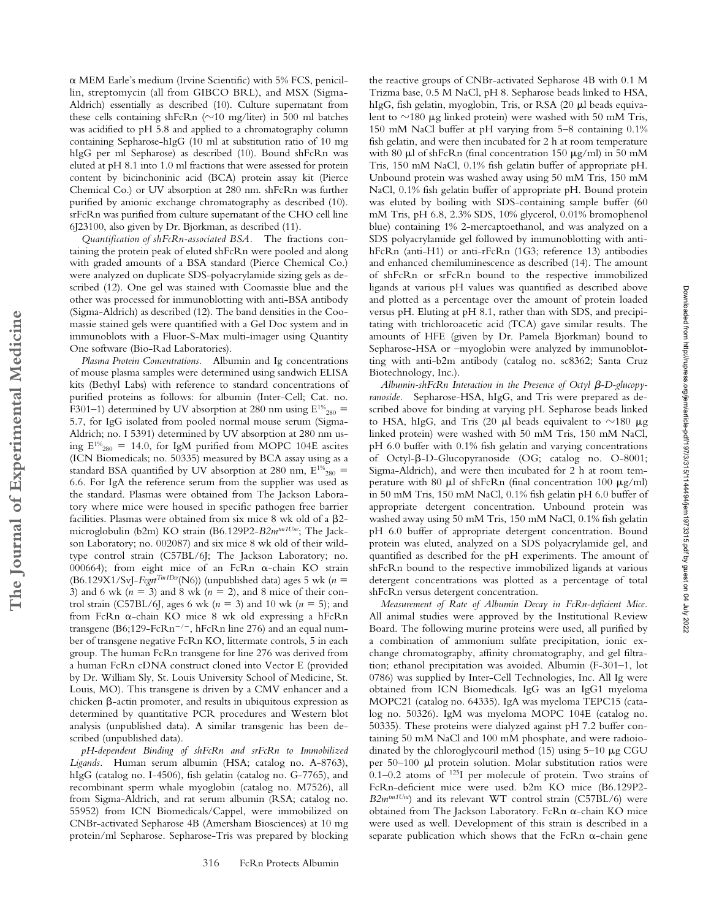$\alpha$  MEM Earle's medium (Irvine Scientific) with 5% FCS, penicillin, streptomycin (all from GIBCO BRL), and MSX (Sigma-Aldrich) essentially as described (10). Culture supernatant from these cells containing shFcRn ( $\sim$ 10 mg/liter) in 500 ml batches was acidified to pH 5.8 and applied to a chromatography column containing Sepharose-hIgG (10 ml at substitution ratio of 10 mg hIgG per ml Sepharose) as described (10). Bound shFcRn was eluted at pH 8.1 into 1.0 ml fractions that were assessed for protein content by bicinchoninic acid (BCA) protein assay kit (Pierce Chemical Co.) or UV absorption at 280 nm. shFcRn was further purified by anionic exchange chromatography as described (10). srFcRn was purified from culture supernatant of the CHO cell line 6J23100, also given by Dr. Bjorkman, as described (11).

*Quantification of shFcRn-associated BSA.* The fractions containing the protein peak of eluted shFcRn were pooled and along with graded amounts of a BSA standard (Pierce Chemical Co.) were analyzed on duplicate SDS-polyacrylamide sizing gels as described (12). One gel was stained with Coomassie blue and the other was processed for immunoblotting with anti-BSA antibody (Sigma-Aldrich) as described (12). The band densities in the Coomassie stained gels were quantified with a Gel Doc system and in immunoblots with a Fluor-S-Max multi-imager using Quantity One software (Bio-Rad Laboratories).

*Plasma Protein Concentrations.* Albumin and Ig concentrations of mouse plasma samples were determined using sandwich ELISA kits (Bethyl Labs) with reference to standard concentrations of purified proteins as follows: for albumin (Inter-Cell; Cat. no. F301–1) determined by UV absorption at 280 nm using  $E^{1/6}_{280}$  = 5.7, for IgG isolated from pooled normal mouse serum (Sigma-Aldrich; no. I 5391) determined by UV absorption at 280 nm using  $E^{1\%}_{280} = 14.0$ , for IgM purified from MOPC 104E ascites (ICN Biomedicals; no. 50335) measured by BCA assay using as a standard BSA quantified by UV absorption at 280 nm,  $E^{1\%}_{280}$  = 6.6. For IgA the reference serum from the supplier was used as the standard. Plasmas were obtained from The Jackson Laboratory where mice were housed in specific pathogen free barrier facilities. Plasmas were obtained from six mice  $8$  wk old of a  $\beta$ 2microglobulin (b2m) KO strain (B6.129P2-*B2mtm1Unc*; The Jackson Laboratory; no. 002087) and six mice 8 wk old of their wildtype control strain (C57BL/6J; The Jackson Laboratory; no. 000664); from eight mice of an FcRn  $\alpha$ -chain KO strain (B6.129X1/SvJ-*Fcgrt*<sup>Tm1Dcr</sup>(N6)) (unpublished data) ages 5 wk ( $n =$ 3) and 6 wk  $(n = 3)$  and 8 wk  $(n = 2)$ , and 8 mice of their control strain (C57BL/6J, ages 6 wk  $(n = 3)$  and 10 wk  $(n = 5)$ ; and from FcRn  $\alpha$ -chain KO mice 8 wk old expressing a hFcRn transgene (B6;129-Fc $Rn^{-/-}$ , hFc $Rn$  line 276) and an equal number of transgene negative FcRn KO, littermate controls, 5 in each group. The human FcRn transgene for line 276 was derived from a human FcRn cDNA construct cloned into Vector E (provided by Dr. William Sly, St. Louis University School of Medicine, St. Louis, MO). This transgene is driven by a CMV enhancer and a chicken  $\beta$ -actin promoter, and results in ubiquitous expression as determined by quantitative PCR procedures and Western blot analysis (unpublished data). A similar transgenic has been described (unpublished data).

**The Journal of Experimental Medicine**

The Journal of Experimental Medicine

*pH-dependent Binding of shFcRn and srFcRn to Immobilized Ligands.* Human serum albumin (HSA; catalog no. A-8763), hIgG (catalog no. I-4506), fish gelatin (catalog no. G-7765), and recombinant sperm whale myoglobin (catalog no. M7526), all from Sigma-Aldrich, and rat serum albumin (RSA; catalog no. 55952) from ICN Biomedicals/Cappel, were immobilized on CNBr-activated Sepharose 4B (Amersham Biosciences) at 10 mg protein/ml Sepharose. Sepharose-Tris was prepared by blocking

the reactive groups of CNBr-activated Sepharose 4B with 0.1 M Trizma base, 0.5 M NaCl, pH 8. Sepharose beads linked to HSA, hIgG, fish gelatin, myoglobin, Tris, or RSA  $(20 \mu)$  beads equivalent to  $\sim$ 180 µg linked protein) were washed with 50 mM Tris, 150 mM NaCl buffer at pH varying from 5–8 containing 0.1% fish gelatin, and were then incubated for 2 h at room temperature with 80  $\mu$ l of shFcRn (final concentration 150  $\mu$ g/ml) in 50 mM Tris, 150 mM NaCl, 0.1% fish gelatin buffer of appropriate pH. Unbound protein was washed away using 50 mM Tris, 150 mM NaCl, 0.1% fish gelatin buffer of appropriate pH. Bound protein was eluted by boiling with SDS-containing sample buffer (60 mM Tris, pH 6.8, 2.3% SDS, 10% glycerol, 0.01% bromophenol blue) containing 1% 2-mercaptoethanol, and was analyzed on a SDS polyacrylamide gel followed by immunoblotting with antihFcRn (anti-H1) or anti-rFcRn (1G3; reference 13) antibodies and enhanced chemiluminescence as described (14). The amount of shFcRn or srFcRn bound to the respective immobilized ligands at various pH values was quantified as described above and plotted as a percentage over the amount of protein loaded versus pH. Eluting at pH 8.1, rather than with SDS, and precipitating with trichloroacetic acid (TCA) gave similar results. The amounts of HFE (given by Dr. Pamela Bjorkman) bound to Sepharose-HSA or –myoglobin were analyzed by immunoblotting with anti-b2m antibody (catalog no. sc8362; Santa Cruz Biotechnology, Inc.).

Albumin-shFcRn Interaction in the Presence of Octγl **β-**D-glucopγ*ranoside.* Sepharose-HSA, hIgG, and Tris were prepared as described above for binding at varying pH. Sepharose beads linked to HSA, hIgG, and Tris (20  $\mu$ l beads equivalent to  $\sim$ 180  $\mu$ g linked protein) were washed with 50 mM Tris, 150 mM NaCl, pH 6.0 buffer with 0.1% fish gelatin and varying concentrations of Octyl-ß-D-Glucopyranoside (OG; catalog no. O-8001; Sigma-Aldrich), and were then incubated for 2 h at room temperature with 80  $\mu$ l of shFcRn (final concentration 100  $\mu$ g/ml) in 50 mM Tris, 150 mM NaCl, 0.1% fish gelatin pH 6.0 buffer of appropriate detergent concentration. Unbound protein was washed away using 50 mM Tris, 150 mM NaCl, 0.1% fish gelatin pH 6.0 buffer of appropriate detergent concentration. Bound protein was eluted, analyzed on a SDS polyacrylamide gel, and quantified as described for the pH experiments. The amount of shFcRn bound to the respective immobilized ligands at various detergent concentrations was plotted as a percentage of total shFcRn versus detergent concentration.

*Measurement of Rate of Albumin Decay in FcRn-deficient Mice.* All animal studies were approved by the Institutional Review Board. The following murine proteins were used, all purified by a combination of ammonium sulfate precipitation, ionic exchange chromatography, affinity chromatography, and gel filtration; ethanol precipitation was avoided. Albumin (F-301–1, lot 0786) was supplied by Inter-Cell Technologies, Inc. All Ig were obtained from ICN Biomedicals. IgG was an IgG1 myeloma MOPC21 (catalog no. 64335). IgA was myeloma TEPC15 (catalog no. 50326). IgM was myeloma MOPC 104E (catalog no. 50335). These proteins were dialyzed against pH 7.2 buffer containing 50 mM NaCl and 100 mM phosphate, and were radioiodinated by the chloroglycouril method  $(15)$  using  $5-10 \mu$ g CGU per  $50-100$  µl protein solution. Molar substitution ratios were 0.1–0.2 atoms of 125I per molecule of protein. Two strains of FcRn-deficient mice were used. b2m KO mice (B6.129P2- *B2m<sup>tm1Unc</sup>*) and its relevant WT control strain (C57BL/6) were obtained from The Jackson Laboratory. FcRn  $\alpha$ -chain KO mice were used as well. Development of this strain is described in a separate publication which shows that the FcRn  $\alpha$ -chain gene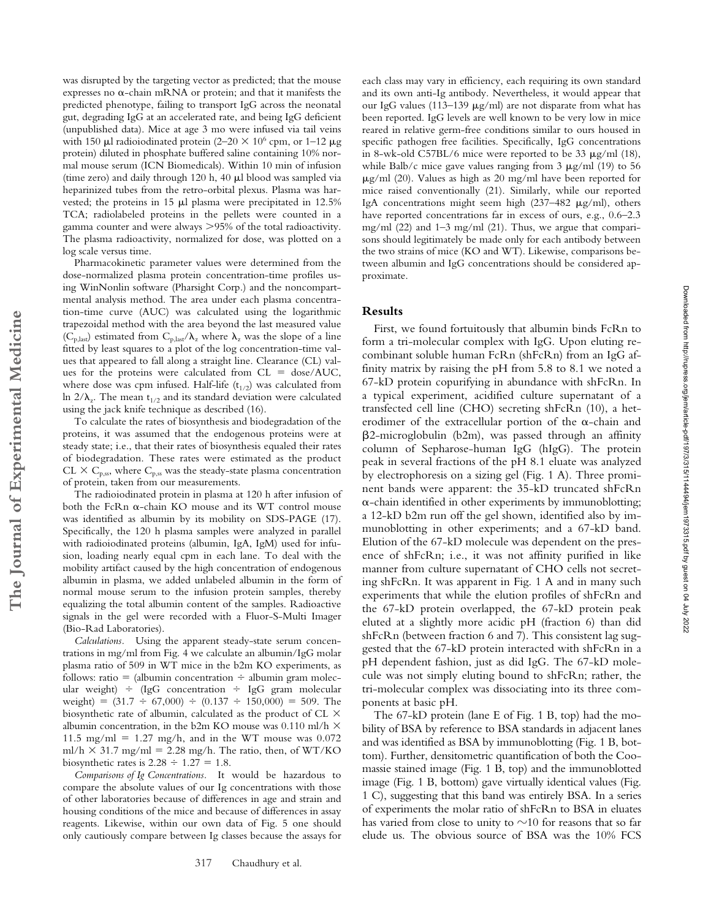was disrupted by the targeting vector as predicted; that the mouse expresses no  $\alpha$ -chain mRNA or protein; and that it manifests the predicted phenotype, failing to transport IgG across the neonatal gut, degrading IgG at an accelerated rate, and being IgG deficient (unpublished data). Mice at age 3 mo were infused via tail veins with 150  $\mu$ l radioiodinated protein (2–20  $\times$  10<sup>6</sup> cpm, or 1–12  $\mu$ g protein) diluted in phosphate buffered saline containing 10% normal mouse serum (ICN Biomedicals). Within 10 min of infusion (time zero) and daily through  $120$  h,  $40 \mu$ l blood was sampled via heparinized tubes from the retro-orbital plexus. Plasma was harvested; the proteins in 15  $\mu$ l plasma were precipitated in 12.5% TCA; radiolabeled proteins in the pellets were counted in a gamma counter and were always 95% of the total radioactivity. The plasma radioactivity, normalized for dose, was plotted on a log scale versus time.

Pharmacokinetic parameter values were determined from the dose-normalized plasma protein concentration-time profiles using WinNonlin software (Pharsight Corp.) and the noncompartmental analysis method. The area under each plasma concentration-time curve (AUC) was calculated using the logarithmic trapezoidal method with the area beyond the last measured value  $(C_{p, last})$  estimated from  $C_{p, last}/\lambda_z$  where  $\lambda_z$  was the slope of a line fitted by least squares to a plot of the log concentration-time values that appeared to fall along a straight line. Clearance (CL) values for the proteins were calculated from  $CL = dose/AUC$ , where dose was cpm infused. Half-life  $(t_{1/2})$  was calculated from ln  $2/\lambda_z$ . The mean t<sub>1/2</sub> and its standard deviation were calculated using the jack knife technique as described (16).

To calculate the rates of biosynthesis and biodegradation of the proteins, it was assumed that the endogenous proteins were at steady state; i.e., that their rates of biosynthesis equaled their rates of biodegradation. These rates were estimated as the product CL  $\times$  C<sub>p,ss</sub>, where C<sub>p,ss</sub> was the steady-state plasma concentration of protein, taken from our measurements.

The radioiodinated protein in plasma at 120 h after infusion of both the FcRn  $\alpha$ -chain KO mouse and its WT control mouse was identified as albumin by its mobility on SDS-PAGE (17). Specifically, the 120 h plasma samples were analyzed in parallel with radioiodinated proteins (albumin, IgA, IgM) used for infusion, loading nearly equal cpm in each lane. To deal with the mobility artifact caused by the high concentration of endogenous albumin in plasma, we added unlabeled albumin in the form of normal mouse serum to the infusion protein samples, thereby equalizing the total albumin content of the samples. Radioactive signals in the gel were recorded with a Fluor-S-Multi Imager (Bio-Rad Laboratories).

*Calculations.* Using the apparent steady-state serum concentrations in mg/ml from Fig. 4 we calculate an albumin/IgG molar plasma ratio of 509 in WT mice in the b2m KO experiments, as follows: ratio = (albumin concentration  $\div$  albumin gram molecular weight)  $\div$  (IgG concentration  $\div$  IgG gram molecular weight) =  $(31.7 \div 67,000) \div (0.137 \div 150,000) = 509$ . The biosynthetic rate of albumin, calculated as the product of CL albumin concentration, in the b2m KO mouse was 0.110 ml/h  $\times$ 11.5 mg/ml = 1.27 mg/h, and in the WT mouse was  $0.072$ ml/h  $\times$  31.7 mg/ml = 2.28 mg/h. The ratio, then, of WT/KO biosynthetic rates is  $2.28 \div 1.27 = 1.8$ .

*Comparisons of Ig Concentrations.* It would be hazardous to compare the absolute values of our Ig concentrations with those of other laboratories because of differences in age and strain and housing conditions of the mice and because of differences in assay reagents. Likewise, within our own data of Fig. 5 one should only cautiously compare between Ig classes because the assays for

each class may vary in efficiency, each requiring its own standard and its own anti-Ig antibody. Nevertheless, it would appear that our IgG values (113–139  $\mu$ g/ml) are not disparate from what has been reported. IgG levels are well known to be very low in mice reared in relative germ-free conditions similar to ours housed in specific pathogen free facilities. Specifically, IgG concentrations in 8-wk-old C57BL/6 mice were reported to be 33  $\mu$ g/ml (18), while Balb/c mice gave values ranging from  $3 \mu g/ml$  (19) to  $56$  $\mu$ g/ml (20). Values as high as 20 mg/ml have been reported for mice raised conventionally (21). Similarly, while our reported IgA concentrations might seem high ( $237-482 \mu g/ml$ ), others have reported concentrations far in excess of ours, e.g., 0.6–2.3 mg/ml (22) and 1–3 mg/ml (21). Thus, we argue that comparisons should legitimately be made only for each antibody between the two strains of mice (KO and WT). Likewise, comparisons between albumin and IgG concentrations should be considered approximate.

#### **Results**

First, we found fortuitously that albumin binds FcRn to form a tri-molecular complex with IgG. Upon eluting recombinant soluble human FcRn (shFcRn) from an IgG affinity matrix by raising the pH from 5.8 to 8.1 we noted a 67-kD protein copurifying in abundance with shFcRn. In a typical experiment, acidified culture supernatant of a transfected cell line (CHO) secreting shFcRn (10), a heterodimer of the extracellular portion of the  $\alpha$ -chain and -2-microglobulin (b2m), was passed through an affinity column of Sepharose-human IgG (hIgG). The protein peak in several fractions of the pH 8.1 eluate was analyzed by electrophoresis on a sizing gel (Fig. 1 A). Three prominent bands were apparent: the 35-kD truncated shFcRn  $\alpha$ -chain identified in other experiments by immunoblotting; a 12-kD b2m run off the gel shown, identified also by immunoblotting in other experiments; and a 67-kD band. Elution of the 67-kD molecule was dependent on the presence of shFcRn; i.e., it was not affinity purified in like manner from culture supernatant of CHO cells not secreting shFcRn. It was apparent in Fig. 1 A and in many such experiments that while the elution profiles of shFcRn and the 67-kD protein overlapped, the 67-kD protein peak eluted at a slightly more acidic pH (fraction 6) than did shFcRn (between fraction 6 and 7). This consistent lag suggested that the 67-kD protein interacted with shFcRn in a pH dependent fashion, just as did IgG. The 67-kD molecule was not simply eluting bound to shFcRn; rather, the tri-molecular complex was dissociating into its three components at basic pH.

Downloaded from http://rupress.org/jem/article-pdf/197/3/315/1144494/jem1973315.pdf by guest on 04 July 2022 Downloaded from http://rupress.org/jem/article-pdf/197/3/315/1144494/jem1973315.pdf by guest on 04 July 2022

The 67-kD protein (lane E of Fig. 1 B, top) had the mobility of BSA by reference to BSA standards in adjacent lanes and was identified as BSA by immunoblotting (Fig. 1 B, bottom). Further, densitometric quantification of both the Coomassie stained image (Fig. 1 B, top) and the immunoblotted image (Fig. 1 B, bottom) gave virtually identical values (Fig. 1 C), suggesting that this band was entirely BSA. In a series of experiments the molar ratio of shFcRn to BSA in eluates has varied from close to unity to  ${\sim}10$  for reasons that so far elude us. The obvious source of BSA was the 10% FCS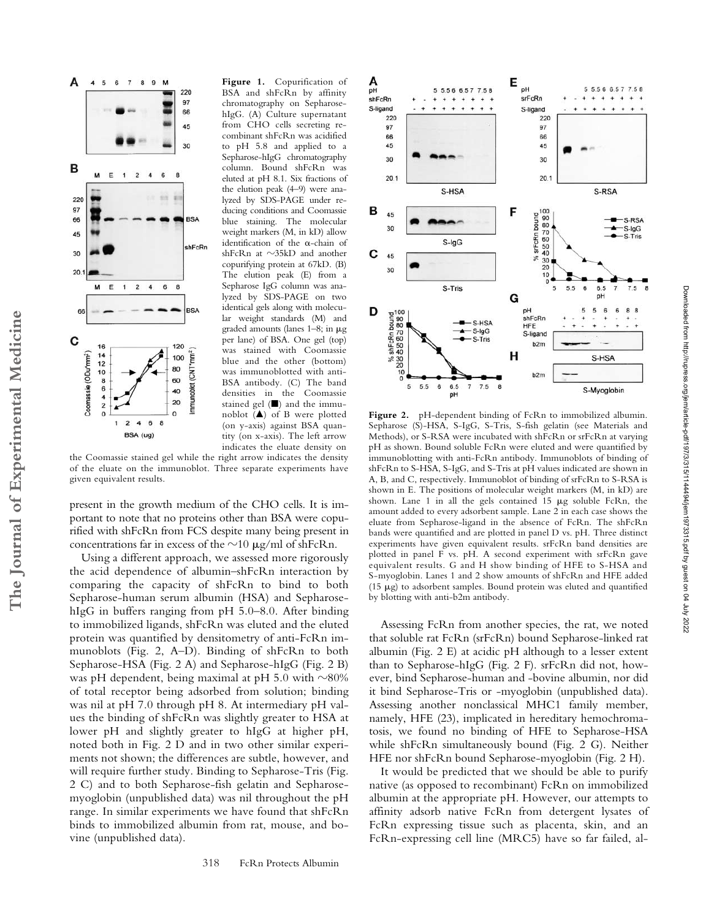

**The Journal of Experimental Medicine**

The Journal of Experimental Medicine

**Figure 1.** Copurification of BSA and shFcRn by affinity chromatography on SepharosehIgG. (A) Culture supernatant from CHO cells secreting recombinant shFcRn was acidified to pH 5.8 and applied to a Sepharose-hIgG chromatography column. Bound shFcRn was eluted at pH 8.1. Six fractions of the elution peak (4–9) were analyzed by SDS-PAGE under reducing conditions and Coomassie blue staining. The molecular weight markers (M, in kD) allow identification of the  $\alpha$ -chain of  $shFcRn$  at  $\sim$ 35kD and another copurifying protein at 67kD. (B) The elution peak (E) from a Sepharose IgG column was analyzed by SDS-PAGE on two identical gels along with molecular weight standards (M) and graded amounts (lanes  $1-8$ ; in  $\mu$ g per lane) of BSA. One gel (top) was stained with Coomassie blue and the other (bottom) was immunoblotted with anti-BSA antibody. (C) The band densities in the Coomassie stained gel  $(\blacksquare)$  and the immunoblot  $(A)$  of B were plotted (on y-axis) against BSA quantity (on x-axis). The left arrow indicates the eluate density on

the Coomassie stained gel while the right arrow indicates the density of the eluate on the immunoblot. Three separate experiments have given equivalent results.

present in the growth medium of the CHO cells. It is important to note that no proteins other than BSA were copurified with shFcRn from FCS despite many being present in concentrations far in excess of the  $\sim$ 10  $\mu$ g/ml of shFcRn.

Using a different approach, we assessed more rigorously the acid dependence of albumin–shFcRn interaction by comparing the capacity of shFcRn to bind to both Sepharose-human serum albumin (HSA) and SepharosehIgG in buffers ranging from pH 5.0–8.0. After binding to immobilized ligands, shFcRn was eluted and the eluted protein was quantified by densitometry of anti-FcRn immunoblots (Fig. 2, A–D). Binding of shFcRn to both Sepharose-HSA (Fig. 2 A) and Sepharose-hIgG (Fig. 2 B) was pH dependent, being maximal at pH 5.0 with  $\sim$ 80% of total receptor being adsorbed from solution; binding was nil at pH 7.0 through pH 8. At intermediary pH values the binding of shFcRn was slightly greater to HSA at lower pH and slightly greater to hIgG at higher pH, noted both in Fig. 2 D and in two other similar experiments not shown; the differences are subtle, however, and will require further study. Binding to Sepharose-Tris (Fig. 2 C) and to both Sepharose-fish gelatin and Sepharosemyoglobin (unpublished data) was nil throughout the pH range. In similar experiments we have found that shFcRn binds to immobilized albumin from rat, mouse, and bovine (unpublished data).



**Figure 2.** pH-dependent binding of FcRn to immobilized albumin. Sepharose (S)-HSA, S-IgG, S-Tris, S-fish gelatin (see Materials and Methods), or S-RSA were incubated with shFcRn or srFcRn at varying pH as shown. Bound soluble FcRn were eluted and were quantified by immunoblotting with anti-FcRn antibody. Immunoblots of binding of shFcRn to S-HSA, S-IgG, and S-Tris at pH values indicated are shown in A, B, and C, respectively. Immunoblot of binding of srFcRn to S-RSA is shown in E. The positions of molecular weight markers (M, in kD) are shown. Lane 1 in all the gels contained 15  $\mu$ g soluble FcRn, the amount added to every adsorbent sample. Lane 2 in each case shows the eluate from Sepharose-ligand in the absence of FcRn. The shFcRn bands were quantified and are plotted in panel D vs. pH. Three distinct experiments have given equivalent results. srFcRn band densities are plotted in panel F vs. pH. A second experiment with srFcRn gave equivalent results. G and H show binding of HFE to S-HSA and S-myoglobin. Lanes 1 and 2 show amounts of shFcRn and HFE added (15  $\mu$ g) to adsorbent samples. Bound protein was eluted and quantified by blotting with anti-b2m antibody.

Assessing FcRn from another species, the rat, we noted that soluble rat FcRn (srFcRn) bound Sepharose-linked rat albumin (Fig. 2 E) at acidic pH although to a lesser extent than to Sepharose-hIgG (Fig. 2 F). srFcRn did not, however, bind Sepharose-human and -bovine albumin, nor did it bind Sepharose-Tris or -myoglobin (unpublished data). Assessing another nonclassical MHC1 family member, namely, HFE (23), implicated in hereditary hemochromatosis, we found no binding of HFE to Sepharose-HSA while shFcRn simultaneously bound (Fig. 2 G). Neither HFE nor shFcRn bound Sepharose-myoglobin (Fig. 2 H).

It would be predicted that we should be able to purify native (as opposed to recombinant) FcRn on immobilized albumin at the appropriate pH. However, our attempts to affinity adsorb native FcRn from detergent lysates of FcRn expressing tissue such as placenta, skin, and an FcRn-expressing cell line (MRC5) have so far failed, al-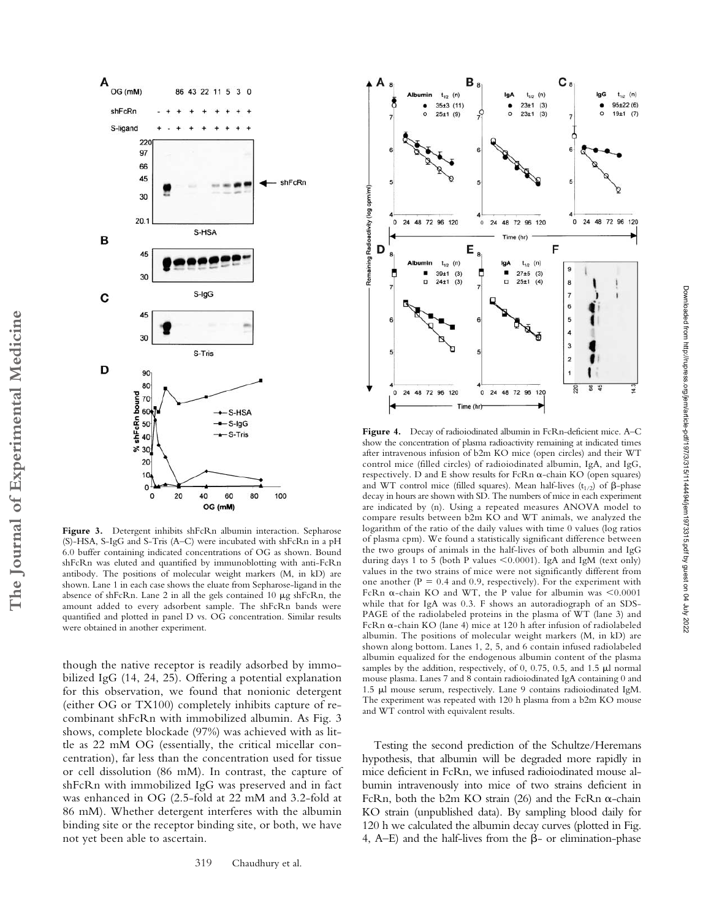

Figure 3. Detergent inhibits shFcRn albumin interaction. Sepharose (S)-HSA, S-IgG and S-Tris (A–C) were incubated with shFcRn in a pH 6.0 buffer containing indicated concentrations of OG as shown. Bound shFcRn was eluted and quantified by immunoblotting with anti-FcRn antibody. The positions of molecular weight markers (M, in kD) are shown. Lane 1 in each case shows the eluate from Sepharose-ligand in the absence of shFcRn. Lane 2 in all the gels contained 10  $\mu$ g shFcRn, the amount added to every adsorbent sample. The shFcRn bands were quantified and plotted in panel D vs. OG concentration. Similar results were obtained in another experiment.

though the native receptor is readily adsorbed by immobilized IgG (14, 24, 25). Offering a potential explanation for this observation, we found that nonionic detergent (either OG or TX100) completely inhibits capture of recombinant shFcRn with immobilized albumin. As Fig. 3 shows, complete blockade (97%) was achieved with as little as 22 mM OG (essentially, the critical micellar concentration), far less than the concentration used for tissue or cell dissolution (86 mM). In contrast, the capture of shFcRn with immobilized IgG was preserved and in fact was enhanced in OG (2.5-fold at 22 mM and 3.2-fold at 86 mM). Whether detergent interferes with the albumin binding site or the receptor binding site, or both, we have not yet been able to ascertain.



**Figure 4.** Decay of radioiodinated albumin in FcRn-deficient mice. A–C show the concentration of plasma radioactivity remaining at indicated times after intravenous infusion of b2m KO mice (open circles) and their WT control mice (filled circles) of radioiodinated albumin, IgA, and IgG, respectively. D and E show results for FcRn  $\alpha$ -chain KO (open squares) and WT control mice (filled squares). Mean half-lives  $(t_{1/2})$  of  $\beta$ -phase decay in hours are shown with SD. The numbers of mice in each experiment are indicated by (n). Using a repeated measures ANOVA model to compare results between b2m KO and WT animals, we analyzed the logarithm of the ratio of the daily values with time 0 values (log ratios of plasma cpm). We found a statistically significant difference between the two groups of animals in the half-lives of both albumin and IgG during days 1 to 5 (both P values  $\leq 0.0001$ ). IgA and IgM (text only) values in the two strains of mice were not significantly different from one another ( $P = 0.4$  and 0.9, respectively). For the experiment with FcRn  $\alpha$ -chain KO and WT, the P value for albumin was <0.0001 while that for IgA was 0.3. F shows an autoradiograph of an SDS-PAGE of the radiolabeled proteins in the plasma of WT (lane 3) and FcRn  $\alpha$ -chain KO (lane 4) mice at 120 h after infusion of radiolabeled albumin. The positions of molecular weight markers (M, in kD) are shown along bottom. Lanes 1, 2, 5, and 6 contain infused radiolabeled albumin equalized for the endogenous albumin content of the plasma samples by the addition, respectively, of  $0$ ,  $0.75$ ,  $0.5$ , and  $1.5$   $\mu$ l normal mouse plasma. Lanes 7 and 8 contain radioiodinated IgA containing 0 and 1.5 µl mouse serum, respectively. Lane 9 contains radioiodinated IgM. The experiment was repeated with 120 h plasma from a b2m KO mouse and WT control with equivalent results.

Testing the second prediction of the Schultze/Heremans hypothesis, that albumin will be degraded more rapidly in mice deficient in FcRn, we infused radioiodinated mouse albumin intravenously into mice of two strains deficient in FcRn, both the b2m KO strain (26) and the FcRn  $\alpha$ -chain KO strain (unpublished data). By sampling blood daily for 120 h we calculated the albumin decay curves (plotted in Fig. 4, A-E) and the half-lives from the  $\beta$ - or elimination-phase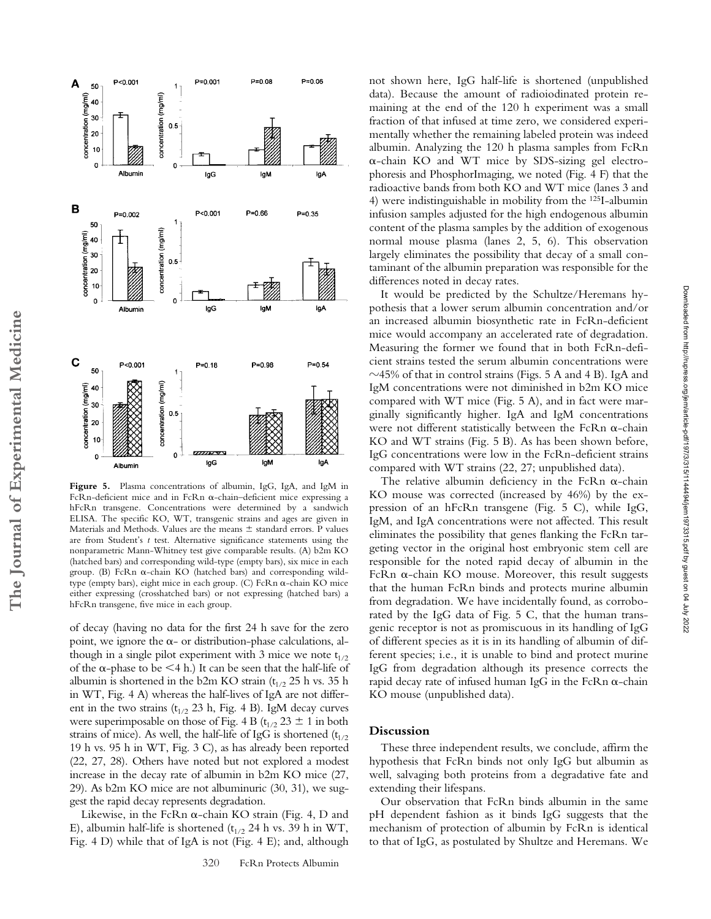

**Figure 5.** Plasma concentrations of albumin, IgG, IgA, and IgM in FcRn-deficient mice and in FcRn  $\alpha$ -chain-deficient mice expressing a hFcRn transgene. Concentrations were determined by a sandwich ELISA. The specific KO, WT, transgenic strains and ages are given in Materials and Methods. Values are the means  $\pm$  standard errors. P values are from Student's *t* test. Alternative significance statements using the nonparametric Mann-Whitney test give comparable results. (A) b2m KO (hatched bars) and corresponding wild-type (empty bars), six mice in each group. (B) FcRn  $\alpha$ -chain KO (hatched bars) and corresponding wildtype (empty bars), eight mice in each group. (C) FcRn  $\alpha$ -chain KO mice either expressing (crosshatched bars) or not expressing (hatched bars) a hFcRn transgene, five mice in each group.

of decay (having no data for the first 24 h save for the zero point, we ignore the  $\alpha$ - or distribution-phase calculations, although in a single pilot experiment with 3 mice we note  $t_{1/2}$ of the  $\alpha$ -phase to be <4 h.) It can be seen that the half-life of albumin is shortened in the b2m KO strain ( $t_{1/2}$  25 h vs. 35 h in WT, Fig. 4 A) whereas the half-lives of IgA are not different in the two strains ( $t_{1/2}$  23 h, Fig. 4 B). IgM decay curves were superimposable on those of Fig. 4 B ( $t_{1/2}$  23  $\pm$  1 in both strains of mice). As well, the half-life of IgG is shortened  $(t_{1/2})$ 19 h vs. 95 h in WT, Fig. 3 C), as has already been reported (22, 27, 28). Others have noted but not explored a modest increase in the decay rate of albumin in b2m KO mice (27, 29). As b2m KO mice are not albuminuric (30, 31), we suggest the rapid decay represents degradation.

Likewise, in the FcRn  $\alpha$ -chain KO strain (Fig. 4, D and E), albumin half-life is shortened ( $t_{1/2}$  24 h vs. 39 h in WT, Fig. 4 D) while that of IgA is not (Fig. 4 E); and, although not shown here, IgG half-life is shortened (unpublished data). Because the amount of radioiodinated protein remaining at the end of the 120 h experiment was a small fraction of that infused at time zero, we considered experimentally whether the remaining labeled protein was indeed albumin. Analyzing the 120 h plasma samples from FcRn  $\alpha$ -chain KO and WT mice by SDS-sizing gel electrophoresis and PhosphorImaging, we noted (Fig. 4 F) that the radioactive bands from both KO and WT mice (lanes 3 and 4) were indistinguishable in mobility from the 125I-albumin infusion samples adjusted for the high endogenous albumin content of the plasma samples by the addition of exogenous normal mouse plasma (lanes 2, 5, 6). This observation largely eliminates the possibility that decay of a small contaminant of the albumin preparation was responsible for the differences noted in decay rates.

It would be predicted by the Schultze/Heremans hypothesis that a lower serum albumin concentration and/or an increased albumin biosynthetic rate in FcRn-deficient mice would accompany an accelerated rate of degradation. Measuring the former we found that in both FcRn-deficient strains tested the serum albumin concentrations were  $\sim$ 45% of that in control strains (Figs. 5 A and 4 B). IgA and IgM concentrations were not diminished in b2m KO mice compared with WT mice (Fig. 5 A), and in fact were marginally significantly higher. IgA and IgM concentrations were not different statistically between the FcRn  $\alpha$ -chain KO and WT strains (Fig. 5 B). As has been shown before, IgG concentrations were low in the FcRn-deficient strains compared with WT strains (22, 27; unpublished data).

The relative albumin deficiency in the FcRn  $\alpha$ -chain KO mouse was corrected (increased by 46%) by the expression of an hFcRn transgene (Fig. 5 C), while IgG, IgM, and IgA concentrations were not affected. This result eliminates the possibility that genes flanking the FcRn targeting vector in the original host embryonic stem cell are responsible for the noted rapid decay of albumin in the FcRn  $\alpha$ -chain KO mouse. Moreover, this result suggests that the human FcRn binds and protects murine albumin from degradation. We have incidentally found, as corroborated by the IgG data of Fig. 5 C, that the human transgenic receptor is not as promiscuous in its handling of IgG of different species as it is in its handling of albumin of different species; i.e., it is unable to bind and protect murine IgG from degradation although its presence corrects the rapid decay rate of infused human IgG in the FcRn  $\alpha$ -chain KO mouse (unpublished data).

## **Discussion**

These three independent results, we conclude, affirm the hypothesis that FcRn binds not only IgG but albumin as well, salvaging both proteins from a degradative fate and extending their lifespans.

Our observation that FcRn binds albumin in the same pH dependent fashion as it binds IgG suggests that the mechanism of protection of albumin by FcRn is identical to that of IgG, as postulated by Shultze and Heremans. We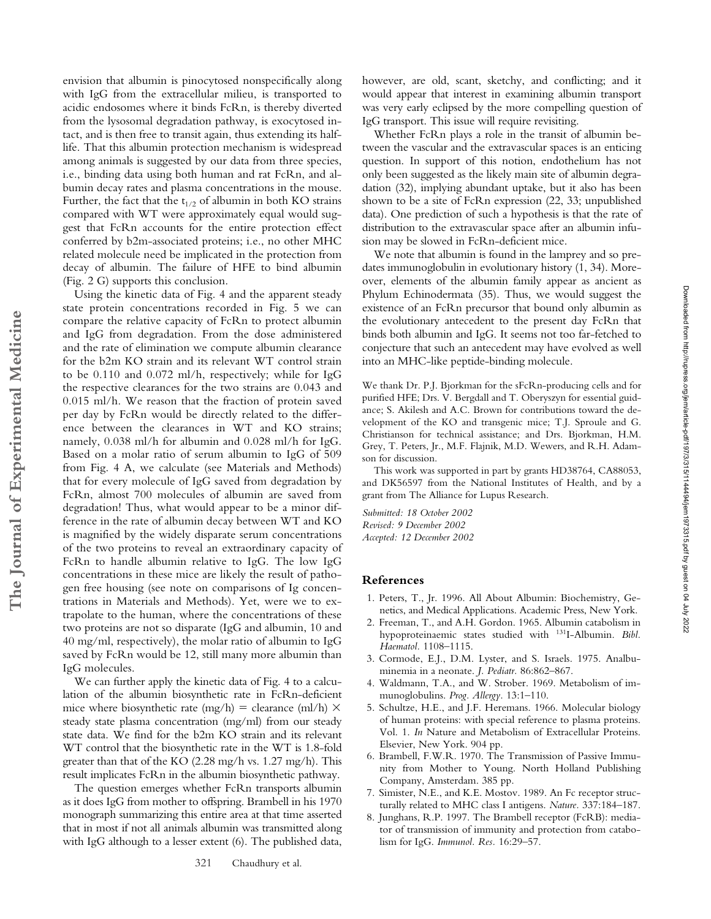envision that albumin is pinocytosed nonspecifically along with IgG from the extracellular milieu, is transported to acidic endosomes where it binds FcRn, is thereby diverted from the lysosomal degradation pathway, is exocytosed intact, and is then free to transit again, thus extending its halflife. That this albumin protection mechanism is widespread among animals is suggested by our data from three species, i.e., binding data using both human and rat FcRn, and albumin decay rates and plasma concentrations in the mouse. Further, the fact that the  $t_{1/2}$  of albumin in both KO strains compared with WT were approximately equal would suggest that FcRn accounts for the entire protection effect conferred by b2m-associated proteins; i.e., no other MHC related molecule need be implicated in the protection from decay of albumin. The failure of HFE to bind albumin (Fig. 2 G) supports this conclusion.

Using the kinetic data of Fig. 4 and the apparent steady state protein concentrations recorded in Fig. 5 we can compare the relative capacity of FcRn to protect albumin and IgG from degradation. From the dose administered and the rate of elimination we compute albumin clearance for the b2m KO strain and its relevant WT control strain to be 0.110 and 0.072 ml/h, respectively; while for IgG the respective clearances for the two strains are 0.043 and 0.015 ml/h. We reason that the fraction of protein saved per day by FcRn would be directly related to the difference between the clearances in WT and KO strains; namely, 0.038 ml/h for albumin and 0.028 ml/h for IgG. Based on a molar ratio of serum albumin to IgG of 509 from Fig. 4 A, we calculate (see Materials and Methods) that for every molecule of IgG saved from degradation by FcRn, almost 700 molecules of albumin are saved from degradation! Thus, what would appear to be a minor difference in the rate of albumin decay between WT and KO is magnified by the widely disparate serum concentrations of the two proteins to reveal an extraordinary capacity of FcRn to handle albumin relative to IgG. The low IgG concentrations in these mice are likely the result of pathogen free housing (see note on comparisons of Ig concentrations in Materials and Methods). Yet, were we to extrapolate to the human, where the concentrations of these two proteins are not so disparate (IgG and albumin, 10 and 40 mg/ml, respectively), the molar ratio of albumin to IgG saved by FcRn would be 12, still many more albumin than IgG molecules.

**The Journal of Experimental Medicine**

The Journal of Experimental Medicine

We can further apply the kinetic data of Fig. 4 to a calculation of the albumin biosynthetic rate in FcRn-deficient mice where biosynthetic rate (mg/h) = clearance (ml/h)  $\times$ steady state plasma concentration (mg/ml) from our steady state data. We find for the b2m KO strain and its relevant WT control that the biosynthetic rate in the WT is 1.8-fold greater than that of the KO (2.28 mg/h vs. 1.27 mg/h). This result implicates FcRn in the albumin biosynthetic pathway.

The question emerges whether FcRn transports albumin as it does IgG from mother to offspring. Brambell in his 1970 monograph summarizing this entire area at that time asserted that in most if not all animals albumin was transmitted along with IgG although to a lesser extent (6). The published data,

321 Chaudhury et al.

however, are old, scant, sketchy, and conflicting; and it would appear that interest in examining albumin transport was very early eclipsed by the more compelling question of IgG transport. This issue will require revisiting.

Whether FcRn plays a role in the transit of albumin between the vascular and the extravascular spaces is an enticing question. In support of this notion, endothelium has not only been suggested as the likely main site of albumin degradation (32), implying abundant uptake, but it also has been shown to be a site of FcRn expression (22, 33; unpublished data). One prediction of such a hypothesis is that the rate of distribution to the extravascular space after an albumin infusion may be slowed in FcRn-deficient mice.

We note that albumin is found in the lamprey and so predates immunoglobulin in evolutionary history (1, 34). Moreover, elements of the albumin family appear as ancient as Phylum Echinodermata (35). Thus, we would suggest the existence of an FcRn precursor that bound only albumin as the evolutionary antecedent to the present day FcRn that binds both albumin and IgG. It seems not too far-fetched to conjecture that such an antecedent may have evolved as well into an MHC-like peptide-binding molecule.

We thank Dr. P.J. Bjorkman for the sFcRn-producing cells and for purified HFE; Drs. V. Bergdall and T. Oberyszyn for essential guidance; S. Akilesh and A.C. Brown for contributions toward the development of the KO and transgenic mice; T.J. Sproule and G. Christianson for technical assistance; and Drs. Bjorkman, H.M. Grey, T. Peters, Jr., M.F. Flajnik, M.D. Wewers, and R.H. Adamson for discussion.

This work was supported in part by grants HD38764, CA88053, and DK56597 from the National Institutes of Health, and by a grant from The Alliance for Lupus Research.

*Submitted: 18 October 2002 Revised: 9 December 2002 Accepted: 12 December 2002*

#### **References**

- 1. Peters, T., Jr. 1996. All About Albumin: Biochemistry, Genetics, and Medical Applications. Academic Press, New York.
- 2. Freeman, T., and A.H. Gordon. 1965. Albumin catabolism in hypoproteinaemic states studied with 131I-Albumin. *Bibl. Haematol.* 1108–1115.
- 3. Cormode, E.J., D.M. Lyster, and S. Israels. 1975. Analbuminemia in a neonate. *J. Pediatr.* 86:862–867.
- 4. Waldmann, T.A., and W. Strober. 1969. Metabolism of immunoglobulins. *Prog. Allergy.* 13:1–110.
- 5. Schultze, H.E., and J.F. Heremans. 1966. Molecular biology of human proteins: with special reference to plasma proteins. Vol. 1. *In* Nature and Metabolism of Extracellular Proteins. Elsevier, New York. 904 pp.
- 6. Brambell, F.W.R. 1970. The Transmission of Passive Immunity from Mother to Young. North Holland Publishing Company, Amsterdam. 385 pp.
- 7. Simister, N.E., and K.E. Mostov. 1989. An Fc receptor structurally related to MHC class I antigens. *Nature.* 337:184–187.
- 8. Junghans, R.P. 1997. The Brambell receptor (FcRB): mediator of transmission of immunity and protection from catabolism for IgG. *Immunol. Res.* 16:29–57.